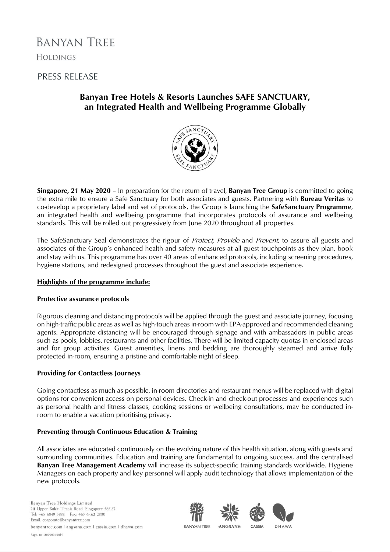# **BANYAN TREE HOLDINGS**

# PRESS RELEASE

# **Banyan Tree Hotels & Resorts Launches SAFE SANCTUARY, an Integrated Health and Wellbeing Programme Globally**



**Singapore, 21 May 2020** – In preparation for the return of travel, **Banyan Tree Group** is committed to going the extra mile to ensure a Safe Sanctuary for both associates and guests. Partnering with **Bureau Veritas** to co-develop a proprietary label and set of protocols, the Group is launching the **SafeSanctuary Programme**, an integrated health and wellbeing programme that incorporates protocols of assurance and wellbeing standards. This will be rolled out progressively from June 2020 throughout all properties.

The SafeSanctuary Seal demonstrates the rigour of *Protect, Provide* and *Prevent*, to assure all guests and associates of the Group's enhanced health and safety measures at all guest touchpoints as they plan, book and stay with us. This programme has over 40 areas of enhanced protocols, including screening procedures, hygiene stations, and redesigned processes throughout the guest and associate experience.

### **Highlights of the programme include:**

### **Protective assurance protocols**

Rigorous cleaning and distancing protocols will be applied through the guest and associate journey, focusing on high-traffic public areas as well as high-touch areas in-room with EPA-approved and recommended cleaning agents. Appropriate distancing will be encouraged through signage and with ambassadors in public areas such as pools, lobbies, restaurants and other facilities. There will be limited capacity quotas in enclosed areas and for group activities. Guest amenities, linens and bedding are thoroughly steamed and arrive fully protected in-room, ensuring a pristine and comfortable night of sleep.

## **Providing for Contactless Journeys**

Going contactless as much as possible, in-room directories and restaurant menus will be replaced with digital options for convenient access on personal devices. Check-in and check-out processes and experiences such as personal health and fitness classes, cooking sessions or wellbeing consultations, may be conducted inroom to enable a vacation prioritising privacy.

## **Preventing through Continuous Education & Training**

All associates are educated continuously on the evolving nature of this health situation, along with guests and surrounding communities. Education and training are fundamental to ongoing success, and the centralised **Banyan Tree Management Academy** will increase its subject-specific training standards worldwide. Hygiene Managers on each property and key personnel will apply audit technology that allows implementation of the new protocols.

Banyan Tree Holdings Limited 211 Upper Bukit Timah Road, Singapore 588182 Tel: +65 6849 5888 Fax: +65 6462 2800 Email: corporate@banyantree.com

banyantree.com | angsana.com | cassia.com | dhawa.com

Regn. no. 200003108H

**BANYAN TREE** ANGSANA